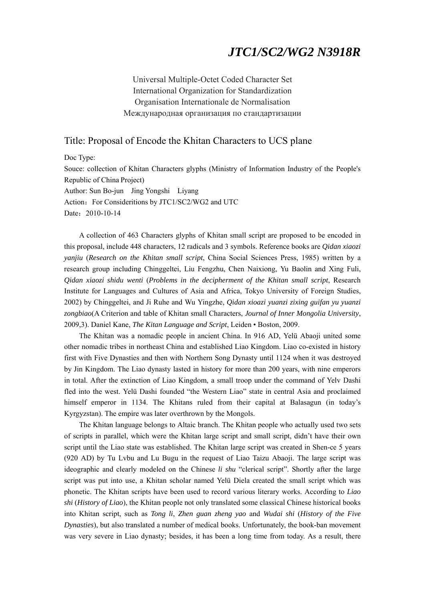## *JTC1/SC2/WG2 N3918R*

Universal Multiple-Octet Coded Character Set International Organization for Standardization Organisation Internationale de Normalisation Международная организация по стандартизации

## Title: Proposal of Encode the Khitan Characters to UCS plane

Doc Type:

Souce: collection of Khitan Characters glyphs (Ministry of Information Industry of the People's Republic of China Project) Author: Sun Bo-jun Jing Yongshi Liyang Action: For Consideritions by JTC1/SC2/WG2 and UTC Date: 2010-10-14

A collection of 463 Characters glyphs of Khitan small script are proposed to be encoded in this proposal, include 448 characters, 12 radicals and 3 symbols. Reference books are *Qidan xiaozi yanjiu* (*Research on the Khitan small script*, China Social Sciences Press, 1985) written by a research group including Chinggeltei, Liu Fengzhu, Chen Naixiong, Yu Baolin and Xing Fuli, *Qidan xiaozi shidu wenti* (*Problems in the decipherment of the Khitan small script*, Research Institute for Languages and Cultures of Asia and Africa, Tokyo University of Foreign Studies, 2002) by Chinggeltei, and Ji Ruhe and Wu Yingzhe, *Qidan xioazi yuanzi zixing guifan yu yuanzi zongbiao*(A Criterion and table of Khitan small Characters, *Journal of Inner Mongolia University*, 2009,3). Daniel Kane, *The Kitan Language and Script*, Leiden • Boston, 2009.

The Khitan was a nomadic people in ancient China. In 916 AD, Yelü Abaoji united some other nomadic tribes in northeast China and established Liao Kingdom. Liao co-existed in history first with Five Dynasties and then with Northern Song Dynasty until 1124 when it was destroyed by Jin Kingdom. The Liao dynasty lasted in history for more than 200 years, with nine emperors in total. After the extinction of Liao Kingdom, a small troop under the command of Yelv Dashi fled into the west. Yelü Dashi founded "the Western Liao" state in central Asia and proclaimed himself emperor in 1134. The Khitans ruled from their capital at Balasagun (in today's Kyrgyzstan). The empire was later overthrown by the Mongols.

The Khitan language belongs to Altaic branch. The Khitan people who actually used two sets of scripts in parallel, which were the Khitan large script and small script, didn't have their own script until the Liao state was established. The Khitan large script was created in Shen-ce 5 years (920 AD) by Tu Lvbu and Lu Bugu in the request of Liao Taizu Abaoji. The large script was ideographic and clearly modeled on the Chinese *li shu* "clerical script". Shortly after the large script was put into use, a Khitan scholar named Yelü Diela created the small script which was phonetic. The Khitan scripts have been used to record various literary works. According to *Liao shi* (*History of Liao*), the Khitan people not only translated some classical Chinese historical books into Khitan script, such as *Tong li*, *Zhen guan zheng yao* and *Wudai shi* (*History of the Five Dynasties*), but also translated a number of medical books. Unfortunately, the book-ban movement was very severe in Liao dynasty; besides, it has been a long time from today. As a result, there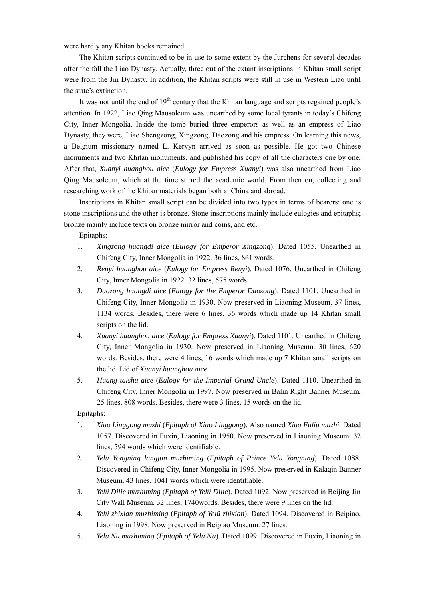were hardly any Khitan books remained.

The Khitan scripts continued to be in use to some extent by the Jurchens for several decades after the fall the Liao Dynasty. Actually, three out of the extant inscriptions in Khitan small script were from the Jin Dynasty. In addition, the Khitan scripts were still in use in Western Liao until the state's extinction.

It was not until the end of  $19<sup>th</sup>$  century that the Khitan language and scripts regained people's attention. In 1922, Liao Qing Mausoleum was unearthed by some local tyrants in today's Chifeng City, Inner Mongolia. Inside the tomb buried three emperors as well as an empress of Liao Dynasty, they were, Liao Shengzong, Xingzong, Daozong and his empress. On learning this news, a Belgium missionary named L. Kervyn arrived as soon as possible. He got two Chinese monuments and two Khitan monuments, and published his copy of all the characters one by one. After that, *Xuanyi huanghou aice* (*Eulogy for Empress Xuanyi*) was also unearthed from Liao Qing Mausoleum, which at the time stirred the academic world. From then on, collecting and researching work of the Khitan materials began both at China and abroad.

Inscriptions in Khitan small script can be divided into two types in terms of bearers: one is stone inscriptions and the other is bronze. Stone inscriptions mainly include eulogies and epitaphs; bronze mainly include texts on bronze mirror and coins, and etc.

Epitaphs:

- 1. *Xingzong huangdi aice* (*Eulogy for Emperor Xingzong*). Dated 1055. Unearthed in Chifeng City, Inner Mongolia in 1922. 36 lines, 861 words.
- 2. *Renyi huanghou aice* (*Eulogy for Empress Renyi*). Dated 1076. Unearthed in Chifeng City, Inner Mongolia in 1922. 32 lines, 575 words.
- 3. *Daozong huangdi aice* (*Eulogy for the Emperor Daozong*). Dated 1101. Unearthed in Chifeng City, Inner Mongolia in 1930. Now preserved in Liaoning Museum. 37 lines, 1134 words. Besides, there were 6 lines, 36 words which made up 14 Khitan small scripts on the lid.
- 4. *Xuanyi huanghou aice* (*Eulogy for Empress Xuanyi*). Dated 1101. Unearthed in Chifeng City, Inner Mongolia in 1930. Now preserved in Liaoning Museum. 30 lines, 620 words. Besides, there were 4 lines, 16 words which made up 7 Khitan small scripts on the lid. Lid of *Xuanyi huanghou aice.*
- 5. *Huang taishu aice* (*Eulogy for the Imperial Grand Uncle*). Dated 1110. Unearthed in Chifeng City, Inner Mongolia in 1997. Now preserved in Balin Right Banner Museum. 25 lines, 808 words. Besides, there were 3 lines, 15 words on the lid.

Epitaphs:

- 1. *Xiao Linggong muzhi* (*Epitaph of Xiao Linggong*). Also named *Xiao Fuliu muzhi*. Dated 1057. Discovered in Fuxin, Liaoning in 1950. Now preserved in Liaoning Museum. 32 lines, 594 words which were identifiable.
- 2. *Yelü Yongning langjun muzhiming* (*Epitaph of Prince Yelü Yongning*). Dated 1088. Discovered in Chifeng City, Inner Mongolia in 1995. Now preserved in Kalaqin Banner Museum. 43 lines, 1041 words which were identifiable.
- 3. *Yelü Dilie muzhiming* (*Epitaph of Yelü Dilie*). Dated 1092. Now preserved in Beijing Jin City Wall Museum. 32 lines, 1740words. Besides, there were 9 lines on the lid.
- 4. *Yelü zhixian muzhiming* (*Epitaph of Yelü zhixian*). Dated 1094. Discovered in Beipiao, Liaoning in 1998. Now preserved in Beipiao Museum. 27 lines.
- 5. *Yelü Nu muzhiming* (*Epitaph of Yelü Nu*). Dated 1099. Discovered in Fuxin, Liaoning in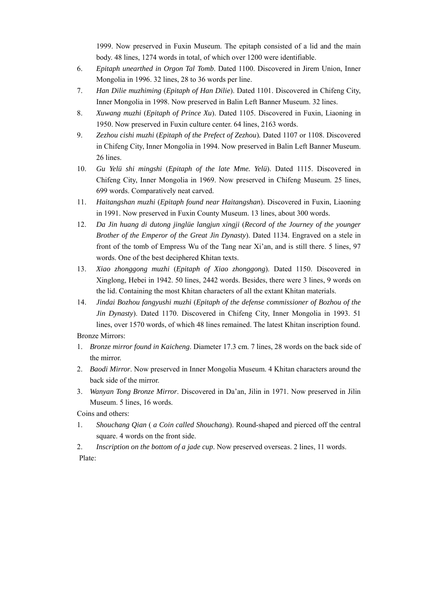1999. Now preserved in Fuxin Museum. The epitaph consisted of a lid and the main body. 48 lines, 1274 words in total, of which over 1200 were identifiable.

- 6. *Epitaph unearthed in Orgon Tal Tomb*. Dated 1100. Discovered in Jirem Union, Inner Mongolia in 1996. 32 lines, 28 to 36 words per line.
- 7. *Han Dilie muzhiming* (*Epitaph of Han Dilie*). Dated 1101. Discovered in Chifeng City, Inner Mongolia in 1998. Now preserved in Balin Left Banner Museum. 32 lines.
- 8. *Xuwang muzhi* (*Epitaph of Prince Xu*). Dated 1105. Discovered in Fuxin, Liaoning in 1950. Now preserved in Fuxin culture center. 64 lines, 2163 words.
- 9. *Zezhou cishi muzhi* (*Epitaph of the Prefect of Zezhou*)*.* Dated 1107 or 1108. Discovered in Chifeng City, Inner Mongolia in 1994. Now preserved in Balin Left Banner Museum. 26 lines.
- 10. *Gu Yelü shi mingshi* (*Epitaph of the late Mme. Yelü*). Dated 1115. Discovered in Chifeng City, Inner Mongolia in 1969. Now preserved in Chifeng Museum. 25 lines, 699 words. Comparatively neat carved.
- 11. *Haitangshan muzhi* (*Epitaph found near Haitangshan*). Discovered in Fuxin, Liaoning in 1991. Now preserved in Fuxin County Museum. 13 lines, about 300 words.
- 12. *Da Jin huang di dutong jinglüe langjun xingji* (*Record of the Journey of the younger Brother of the Emperor of the Great Jin Dynasty*). Dated 1134. Engraved on a stele in front of the tomb of Empress Wu of the Tang near Xi'an, and is still there. 5 lines, 97 words. One of the best deciphered Khitan texts.
- 13. *Xiao zhonggong muzhi* (*Epitaph of Xiao zhonggong*). Dated 1150. Discovered in Xinglong, Hebei in 1942. 50 lines, 2442 words. Besides, there were 3 lines, 9 words on the lid. Containing the most Khitan characters of all the extant Khitan materials.
- 14. *Jindai Bozhou fangyushi muzhi* (*Epitaph of the defense commissioner of Bozhou of the Jin Dynasty*). Dated 1170. Discovered in Chifeng City, Inner Mongolia in 1993. 51 lines, over 1570 words, of which 48 lines remained. The latest Khitan inscription found.

Bronze Mirrors:

- 1. *Bronze mirror found in Kaicheng*. Diameter 17.3 cm. 7 lines, 28 words on the back side of the mirror.
- 2. *Baodi Mirror*. Now preserved in Inner Mongolia Museum. 4 Khitan characters around the back side of the mirror.
- 3. *Wanyan Tong Bronze Mirror*. Discovered in Da'an, Jilin in 1971. Now preserved in Jilin Museum. 5 lines, 16 words.

Coins and others:

- 1. *Shouchang Qian* ( *a Coin called Shouchang*). Round-shaped and pierced off the central square. 4 words on the front side.
- 2. *Inscription on the bottom of a jade cup*. Now preserved overseas. 2 lines, 11 words.

Plate: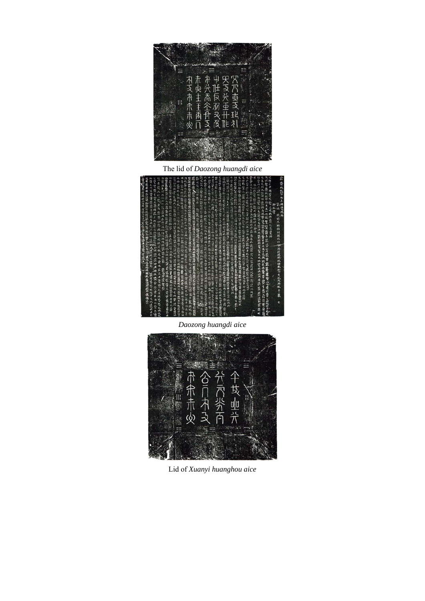

The lid of *Daozong huangdi aice*



*Daozong huangdi aice*



Lid of *Xuanyi huanghou aice*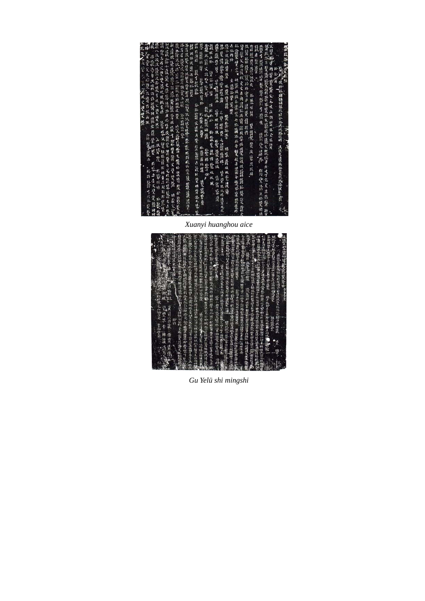

Xuanyi huanghou aice



Gu Yelü shi mingshi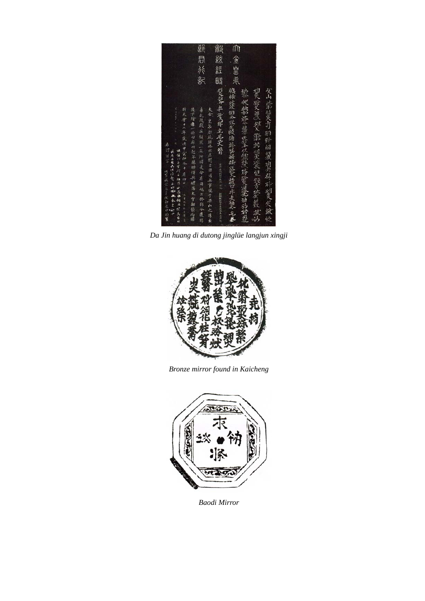

*Da Jin huang di dutong jinglüe langjun xingji* 



*Bronze mirror found in Kaicheng* 



*Baodi Mirror*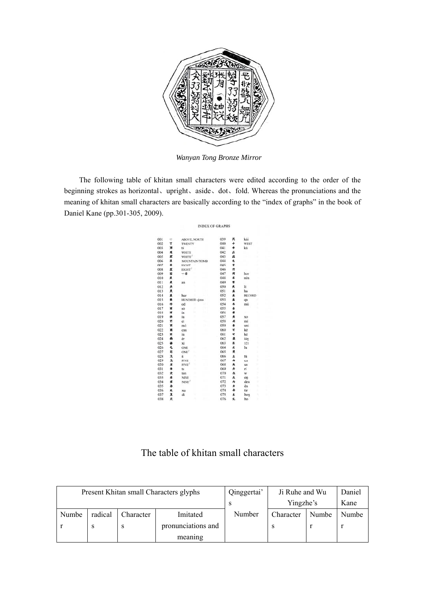

*Wanyan Tong Bronze Mirror* 

The following table of khitan small characters were edited according to the order of the beginning strokes as horizontal、upright、aside、dot、fold. Whereas the pronunciations and the meaning of khitan small characters are basically according to the "index of graphs" in the book of Daniel Kane (pp.301-305, 2009).

|     |    | <b>INDEX OF GRAPHS</b>  |     |   |               |
|-----|----|-------------------------|-----|---|---------------|
| 001 | ÷  | <b>ABOVE, NORTH</b>     | 039 | 芫 | kái           |
| 002 | т  | <b>TWENTY</b>           | 040 | ÷ | WEST          |
| 003 | 夃  | tś                      | 041 | ₩ | kå            |
| 004 | 艰  | WHITE                   | 042 | ż |               |
| 005 | 袤  | WHITE <sup>5</sup>      | 043 | 圡 |               |
| 006 | 汞  | <b>MOUNTAIN/TOMB</b>    | 044 | 屯 |               |
| 007 | 垂  | <b>EIGHT</b>            | 045 | 支 |               |
| 008 | 至  | ١<br>EIGHT <sup>5</sup> | 046 | 古 |               |
| 009 | 思  | $ *$                    | 047 | 巿 | hor           |
| 010 | 룟  |                         | 048 | ≠ | nėn           |
| 011 | 夹  | ۸<br>an                 | 049 | 市 |               |
| 012 | 丢  |                         | 050 | 尭 | li            |
| 013 | 羙  | ł                       | 051 | 圡 | ha            |
| 014 | ž  | hur                     | 052 | 蚃 | <b>RECORD</b> |
| 015 | y, | <b>HUNDRED</b> ciaw     | 053 | 盍 | qa            |
| 016 | 雨  | od                      | 054 | 木 | ô<br>mù       |
| 017 | 甫  | ×<br>só                 | 055 | 木 | ×             |
| 018 | 甫  | ×<br>in                 | 056 | 壺 | ń.            |
| 019 | 药  | ۳<br>iu                 | 057 | 贵 | xo            |
| 020 | 帀  | ei<br>۹                 | 058 | 湘 | mi            |
| 021 | 丙  | mó                      | 059 | 春 | uni           |
| 022 | 甫  | cau                     | 060 | * | kė            |
| 023 | 莃  | iù                      | 061 | 4 | kė            |
| 024 | 而  | ēг                      | 062 | 효 | ián           |
| 025 | 졺  | xi                      | 063 | 康 | ۱<br>121      |
| 026 | £  | m<br>ONE                | 064 | 虔 | lu<br>×       |
| 027 | €  | ONE <sup>®</sup><br>ĸ   | 065 | 羙 | k             |
| 028 | え  | ×<br>ś                  | 066 | Ŧ | tù<br>۸       |
| 029 | 叐  | ٠<br><b>FIVE</b>        | 067 | 卉 | ٠<br>cu       |
| 030 | 叉  | ٠<br>FIVE <sup>1</sup>  | 068 | 关 | ×<br>us       |
| 031 | 寿  | ÷<br>ts                 | 069 | ₳ | ×<br>rí       |
| 032 | 夭  | ŧ<br>těn                | 070 | 螽 | ×<br>w        |
| 033 | 素  | <b>NINE</b>             | 071 | 杰 | s<br>on       |
| 034 | £  | NINE <sup>®</sup>       | 072 | 馬 | ×<br>deu      |
| 035 | 蠢  |                         | 073 | ۰ | ên<br>٠       |
| 036 | 充  | xu                      | 074 | ٠ | tir<br>ĸ      |
| 037 | 重  | di                      | 075 | 圭 | ٨<br>hon      |
| 038 | Æ  | ٠                       | 076 | 扎 | ٠<br>ho       |

## The table of khitan small characters

| Present Khitan small Characters glyphs |         | Qinggertai' | Ji Ruhe and Wu     |        | Daniel    |       |       |
|----------------------------------------|---------|-------------|--------------------|--------|-----------|-------|-------|
|                                        |         |             | Yingzhe's          |        | Kane      |       |       |
| Numbe                                  | radical | Character   | Imitated           | Number | Character | Numbe | Numbe |
|                                        | S       | C           | pronunciations and |        |           |       |       |
|                                        |         |             | meaning            |        |           |       |       |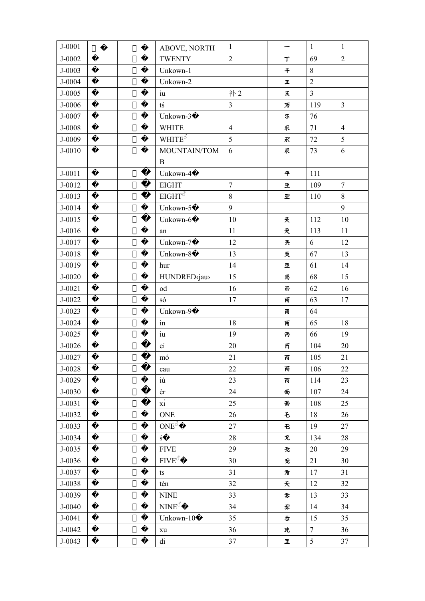| $J-0001$   | ABOVE, NORTH               | $\mathbf{1}$     | —             | $\mathbf{1}$   | $\mathbf{1}$   |
|------------|----------------------------|------------------|---------------|----------------|----------------|
| $J-0002$   | <b>TWENTY</b>              | $\overline{2}$   | T             | 69             | $\overline{2}$ |
| $J-0003$   | Unkown-1                   |                  | $\ddot{\tau}$ | 8              |                |
| $J - 0004$ | Unkown-2                   |                  | <b>I</b>      | $\overline{2}$ |                |
| $J-0005$   | iu                         | 补2               | I,            | $\overline{3}$ |                |
| $J-0006$   | $t\acute{s}$               | $\overline{3}$   | 万             | 119            | $\overline{3}$ |
| $J-0007$   | Unkown-3                   |                  | 不             | 76             |                |
| $J-0008$   | <b>WHITE</b>               | $\overline{4}$   | 禾             | 71             | $\overline{4}$ |
| $J-0009$   | WHITE <sup>3</sup>         | 5                | 乑             | 72             | 5              |
| $J-0010$   | MOUNTAIN/TOM               | 6                | 乑             | 73             | 6              |
|            | $\bf{B}$                   |                  |               |                |                |
| $J - 0011$ | Unkown-4                   |                  | 平             | 111            |                |
| $J-0012$   | <b>EIGHT</b>               | $\boldsymbol{7}$ | 丕             | 109            | $\tau$         |
| $J - 0013$ | $EIGHT^{\delta}$           | 8                | 尘             | 110            | 8              |
| $J-0014$   | Unkown-5                   | 9                |               |                | 9              |
| $J - 0015$ | Unkown-6                   | 10               | 天             | 112            | 10             |
| $J-0016$   | an                         | 11               | 夹             | 113            | 11             |
| $J - 0017$ | Unkown-7                   | 12               | 兲             | 6              | 12             |
| $J-0018$   | Unkown-8                   | 13               | 页             | 67             | 13             |
| $J-0019$   | hur                        | 14               | 亜             | 61             | 14             |
| $J-0020$   | HUNDRED (jau)              | 15               | 羽             | 68             | 15             |
| $J - 0021$ | od                         | 16               | 币             | 62             | 16             |
| $J - 0022$ | só                         | 17               | 雨             | 63             | 17             |
| $J - 0023$ | Unkown-9                   |                  | 甬             | 64             |                |
| $J - 0024$ | in                         | 18               | 雨             | 65             | 18             |
| $J-0025$   | iu                         | 19               | 丙             | 66             | 19             |
| $J-0026$   | ei                         | 20               | 冇             | 104            | $20\,$         |
| $J - 0027$ | mó                         | 21               | 丙             | 105            | 21             |
| $J-0028$   | cau                        | 22               | 甬             | 106            | 22             |
| $J-0029$   | iů                         | 23               | 丙             | 114            | 23             |
| $J - 0030$ | ėr                         | 24               | 而             | 107            | 24             |
| $J - 0031$ | $\vec{x_1}$                | 25               | 面             | 108            | 25             |
| $J - 0032$ | <b>ONE</b>                 | 26               | £             | 18             | 26             |
| $J - 0033$ | $ONE^{\delta}$             | 27               | £             | 19             | 27             |
| $J - 0034$ | ś                          | 28               | 灭             | 134            | 28             |
| $J - 0035$ | <b>FIVE</b>                | 29               | 叐             | 20             | 29             |
| $J - 0036$ | ${\rm FIVE}^{\mathcal{S}}$ | 30               | 无             | 21             | 30             |
| $J - 0037$ | ts                         | 31               | 亐             | 17             | 31             |
| $J - 0038$ | tėn                        | 32               | 夭             | 12             | 32             |
| $J - 0039$ | <b>NINE</b>                | 33               | 素             | 13             | 33             |
| $J - 0040$ | $NINE^{\delta}$            | 34               | 术             | 14             | 34             |
| $J - 0041$ | Unkown-10                  | 35               | 春             | 15             | 35             |
| $J - 0042$ | $\mathbf{x}\mathbf{u}$     | 36               | 玭             | $\tau$         | 36             |
| $J - 0043$ | di                         | 37               | 王             | 5              | 37             |
|            |                            |                  |               |                |                |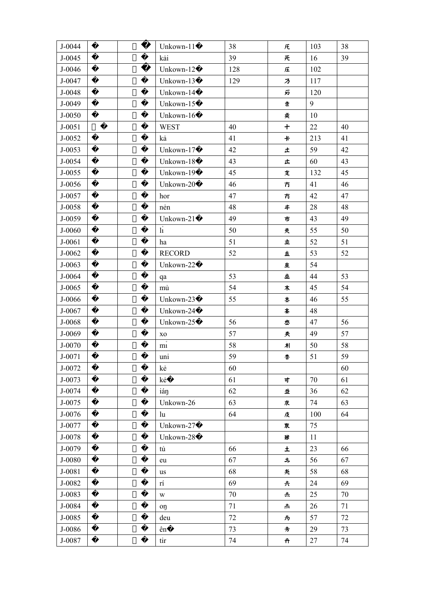| $J - 0044$ | Unkown-11               | 38  | 圧           | 103 | 38 |
|------------|-------------------------|-----|-------------|-----|----|
| $J - 0045$ | kải                     | 39  | 开           | 16  | 39 |
| $J - 0046$ | Unkown-12               | 128 | 圧           | 102 |    |
| $J - 0047$ | Unkown-13               | 129 | 3           | 117 |    |
| J-0048     | Unkown-14               |     | 另           | 120 |    |
| J-0049     | Unkown-15               |     | 隶           | 9   |    |
| $J - 0050$ | Unkown-16               |     | 卖           | 10  |    |
| $J - 0051$ | <b>WEST</b>             | 40  | $\mathbf +$ | 22  | 40 |
| $J - 0052$ | kå                      | 41  | $\ast$      | 213 | 41 |
| $J - 0053$ | Unkown-17               | 42  | 土           | 59  | 42 |
| $J - 0054$ | Unkown-18               | 43  | 圡           | 60  | 43 |
| $J - 0055$ | Unkown-19               | 45  | 支           | 132 | 45 |
| J-0056     | Unkown-20               | 46  | 市           | 41  | 46 |
| $J - 0057$ | hor                     | 47  | 巿           | 42  | 47 |
| $J - 0058$ | nėn                     | 48  | #           | 28  | 48 |
| $J - 0059$ | Unkown-21               | 49  | 市           | 43  | 49 |
| $J - 0060$ | $\overline{\mathbf{h}}$ | 50  | 灻           | 55  | 50 |
| $J - 0061$ | ha                      | 51  | 圡           | 52  | 51 |
| $J - 0062$ | <b>RECORD</b>           | 52  | 圡           | 53  | 52 |
| $J - 0063$ | Unkown-22               |     | 重           | 54  |    |
| J-0064     | qa                      | 53  | 本           | 44  | 53 |
| $J - 0065$ | mů                      | 54  | 木           | 45  | 54 |
| J-0066     | Unkown-23               | 55  | 本           | 46  | 55 |
| $J - 0067$ | Unkown-24               |     | 本           | 48  |    |
| J-0068     | Unkown-25               | 56  | 本           | 47  | 56 |
| J-0069     | X <sub>O</sub>          | 57  | 夾           | 49  | 57 |
| $J-0070$   | $\overline{m}$          | 58  | 札           | 50  | 58 |
| $J - 0071$ | uni                     | 59  | 杏           | 51  | 59 |
| $J - 0072$ | kė                      | 60  |             |     | 60 |
| $J - 0073$ | kė                      | 61  | 可           | 70  | 61 |
| $J - 0074$ | ián                     | 62  | 並           | 36  | 62 |
| $J - 0075$ | Unkown-26               | 63  | 朿           | 74  | 63 |
| J-0076     | lu                      | 64  | 皮           | 100 | 64 |
| $J - 0077$ | Unkown-27               |     | 朿           | 75  |    |
| J-0078     | Unkown-28               |     | ₩           | 11  |    |
| J-0079     | tů                      | 66  | $\pm$       | 23  | 66 |
| J-0080     | eu                      | 67  | ょ           | 56  | 67 |
| $J - 0081$ | us                      | 68  | 夬           | 58  | 68 |
| J-0082     | rí                      | 69  | 夫           | 24  | 69 |
| J-0083     | $\mathbf W$             | 70  | 杰           | 25  | 70 |
| J-0084     | oŋ                      | 71  | 杰           | 26  | 71 |
| J-0085     | deu                     | 72  | 为           | 57  | 72 |
| J-0086     | ên                      | 73  | 寿           | 29  | 73 |
| J-0087     | tir                     | 74  | 卉           | 27  | 74 |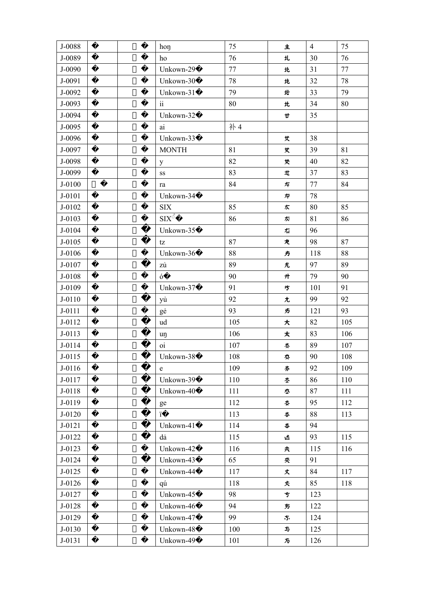| J-0088     | hon                      | 75  | 土           | $\overline{4}$ | 75  |
|------------|--------------------------|-----|-------------|----------------|-----|
| J-0089     | ho                       | 76  | 圠           | 30             | 76  |
| J-0090     | Unkown-29                | 77  | 北           | 31             | 77  |
| J-0091     | Unkown-30                | 78  | 北           | 32             | 78  |
| J-0092     | Unkown-31                | 79  | 地           | 33             | 79  |
| J-0093     | $\overline{\textbf{ii}}$ | 80  | 北           | 34             | 80  |
| J-0094     | Unkown-32                |     | $\mathbf t$ | 35             |     |
| J-0095     | ai                       | 补 4 |             |                |     |
| J-0096     | Unkown-33                |     | サ           | 38             |     |
| J-0097     | <b>MONTH</b>             | 81  | 艾           | 39             | 81  |
| J-0098     | y                        | 82  | 犮           | 40             | 82  |
| J-0099     | SS                       | 83  | <b>tt</b>   | 37             | 83  |
| $J-0100$   | ra                       | 84  | 圷           | 77             | 84  |
| $J - 0101$ | Unkown-34                |     | 炉           | 78             |     |
| $J-0102$   | <b>SIX</b>               | 85  | 厷           | 80             | 85  |
| $J - 0103$ | $SIX^{\delta}$           | 86  | 灰           | 81             | 86  |
| J-0104     | Unkown-35                |     | 厷           | 96             |     |
| $J-0105$   | tz                       | 87  | 友           | 98             | 87  |
| J-0106     | Unkown-36                | 88  | 方           | 118            | 88  |
| J-0107     | zů                       | 89  | 充           | 97             | 89  |
| J-0108     | ó                        | 90  | 廾           | 79             | 90  |
| J-0109     | Unkown-37                | 91  | 步           | 101            | 91  |
| $J-0110$   | yů                       | 92  | 尢           | 99             | 92  |
| $J - 0111$ | gė                       | 93  | 步           | 121            | 93  |
| J-0112     | ud                       | 105 | 大           | 82             | 105 |
| $J-0113$   | uŋ                       | 106 | 太           | 83             | 106 |
| $J-0114$   | $o$ <sub>i</sub>         | 107 | 冭           | 89             | 107 |
| $J-0115$   | Unkown-38                | 108 | 术           | 90             | 108 |
| J-0116     | e                        | 109 | 夯           | 92             | 109 |
| $J-0117$   | Unkown-39                | 110 | 本           | 86             | 110 |
| J-0118     | Unkown-40                | 111 | 小           | 87             | 111 |
| J-0119     | ${\rm ge}$               | 112 | 本           | 95             | 112 |
| $J - 0120$ | ï                        | 113 | 本           | 88             | 113 |
| $J - 0121$ | Unkown-41                | 114 | 本           | 94             |     |
| $J - 0122$ | då                       | 115 | 齿           | 93             | 115 |
| $J - 0123$ | Unkown-42                | 116 | 大           | 115            | 116 |
| $J - 0124$ | Unkown-43                | 65  | 夾           | 91             |     |
| $J - 0125$ | Unkown-44                | 117 | 丈           | 84             | 117 |
| $J - 0126$ | qú                       | 118 | 丈           | 85             | 118 |
| $J - 0127$ | Unkown-45                | 98  | ヶ           | 123            |     |
| $J - 0128$ | Unkown-46                | 94  | 夯           | 122            |     |
| J-0129     | Unkown-47                | 99  | 朩.          | 124            |     |
| $J - 0130$ | Unkown-48                | 100 | 与           | 125            |     |
| $J - 0131$ | Unkown-49                | 101 | 方           | 126            |     |
|            |                          |     |             |                |     |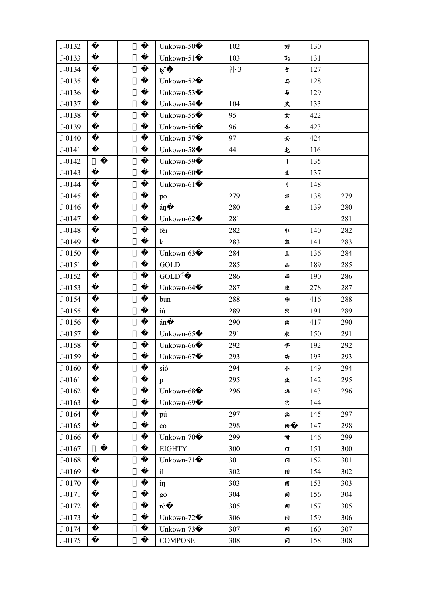| $J - 0132$ | Unkown-50                   | 102 | 芀          | 130 |     |
|------------|-----------------------------|-----|------------|-----|-----|
| $J - 0133$ | Unkown-51                   | 103 | 圠          | 131 |     |
| J-0134     | tsï                         | 补 3 | 5          | 127 |     |
| $J - 0135$ | Unkown-52                   |     | 与          | 128 |     |
| $J - 0136$ | Unkown-53                   |     | $\ddot{p}$ | 129 |     |
| J-0137     | Unkown-54                   | 104 | 亥          | 133 |     |
| J-0138     | Unkown-55                   | 95  | 女          | 422 |     |
| J-0139     | Unkown-56                   | 96  | 亥          | 423 |     |
| $J - 0140$ | Unkown-57                   | 97  | 夾          | 424 |     |
| J-0141     | Unkown-58                   | 44  | 屯          | 116 |     |
| $J - 0142$ | Unkown-59                   |     | L          | 135 |     |
| $J - 0143$ | Unkown-60                   |     | T          | 137 |     |
| $J - 0144$ | Unkown-61                   |     | J.         | 148 |     |
| $J - 0145$ | po                          | 279 | 水          | 138 | 279 |
| $J - 0146$ | áŋ                          | 280 | π          | 139 | 280 |
| $J - 0147$ | Unkown-62                   | 281 |            |     | 281 |
| $J - 0148$ | fėi                         | 282 | #          | 140 | 282 |
| $J - 0149$ | $\mathbf k$                 | 283 | 权          | 141 | 283 |
| $J - 0150$ | Unkown-63                   | 284 | T          | 136 | 284 |
| $J - 0151$ | GOLD                        | 285 | 山          | 189 | 285 |
| $J - 0152$ | $\text{GOLD}^{\mathcal{J}}$ | 286 | 山          | 190 | 286 |
| $J - 0153$ | Unkown-64                   | 287 | 业          | 278 | 287 |
| $J - 0154$ | bun                         | 288 | 41         | 416 | 288 |
| $J - 0155$ | iú                          | 289 | 犬          | 191 | 289 |
| J-0156     | án                          | 290 | 出          | 417 | 290 |
| $J - 0157$ | Unkown-65                   | 291 | 浓          | 150 | 291 |
| J-0158     | Unkown-66                   | 292 | 芩          | 192 | 292 |
| J-0159     | Unkown-67                   | 293 | 类          | 193 | 293 |
| $J - 0160$ | sió                         | 294 | 小          | 149 | 294 |
| $J - 0161$ | p                           | 295 | 业          | 142 | 295 |
| $J - 0162$ | Unkown-68                   | 296 | 氺          | 143 | 296 |
| $J - 0163$ | Unkown-69                   |     | 共          | 144 |     |
| $J - 0164$ | pú                          | 297 | 出          | 145 | 297 |
| $J - 0165$ | $_{\rm co}$                 | 298 | 尚          | 147 | 298 |
| J-0166     | Unkown-70                   | 299 | 籿          | 146 | 299 |
| $J - 0167$ | <b>EIGHTY</b>               | 300 | IJ         | 151 | 300 |
| $J-0168$   | Unkown-71                   | 301 | 冈          | 152 | 301 |
| $J - 0169$ | il                          | 302 | 用          | 154 | 302 |
| $J - 0170$ | $\mathbf{in}$               | 303 | 闱          | 153 | 303 |
| $J - 0171$ | gỏ                          | 304 | 闲          | 156 | 304 |
| $J - 0172$ | rỏ                          | 305 | 闲          | 157 | 305 |
| $J - 0173$ | Unkown-72                   | 306 | 冈          | 159 | 306 |
| $J - 0174$ | Unkown-73                   | 307 | 冈          | 160 | 307 |
| $J - 0175$ | <b>COMPOSE</b>              | 308 | 冈          | 158 | 308 |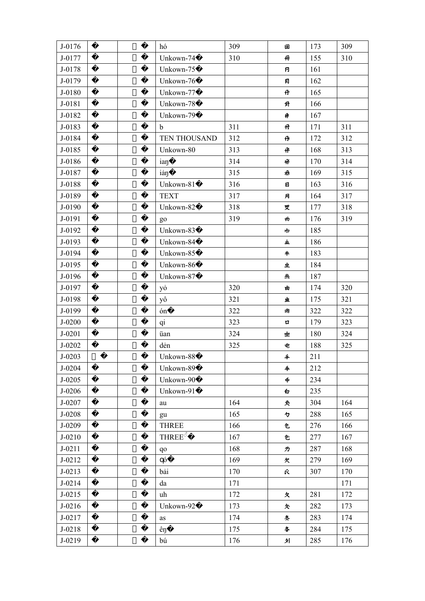| J-0176     | hó                        | 309 | 囬            | 173 | 309 |
|------------|---------------------------|-----|--------------|-----|-----|
| $J - 0177$ | Unkown-74                 | 310 | 冊            | 155 | 310 |
| J-0178     | Unkown-75                 |     | П            | 161 |     |
| J-0179     | Unkown-76                 |     | 月            | 162 |     |
| J-0180     | Unkown-77                 |     | 丹            | 165 |     |
| J-0181     | Unkown-78                 |     | 月            | 166 |     |
| J-0182     | Unkown-79                 |     | #            | 167 |     |
| J-0183     | b                         | 311 | 丹            | 171 | 311 |
| J-0184     | TEN THOUSAND              | 312 | 乐            | 172 | 312 |
| J-0185     | Unkown-80                 | 313 | ₩            | 168 | 313 |
| J-0186     | ian                       | 314 | 丹            | 170 | 314 |
| J-0187     | iản                       | 315 | 赤            | 169 | 315 |
| J-0188     | Unkown-81                 | 316 | 目            | 163 | 316 |
| J-0189     | <b>TEXT</b>               | 317 | 月            | 164 | 317 |
| J-0190     | Unkown-82                 | 318 | 受            | 177 | 318 |
| J-0191     | go                        | 319 | 'nЮ          | 176 | 319 |
| J-0192     | Unkown-83                 |     | 巾            | 185 |     |
| J-0193     | Unkown-84                 |     | 平            | 186 |     |
| J-0194     | Unkown-85                 |     | $\pmb{\ast}$ | 183 |     |
| J-0195     | Unkown-86                 |     | 虫            | 184 |     |
| J-0196     | Unkown-87                 |     | 典            | 187 |     |
| J-0197     | уó                        | 320 | 由            | 174 | 320 |
| J-0198     | yô                        | 321 | 虫            | 175 | 321 |
| J-0199     | ón                        | 322 | 内            | 322 | 322 |
| $J-0200$   | qi                        | 323 | $\mathbf u$  | 179 | 323 |
| $J - 0201$ | üan                       | 324 | 业            | 180 | 324 |
| $J - 0202$ | dėn                       | 325 | 电            | 188 | 325 |
| $J - 0203$ | Unkown-88                 |     | 千            | 211 |     |
| $J - 0204$ | Unkown-89                 |     | 车            | 212 |     |
| $J - 0205$ | Unkown-90                 |     | $\spadesuit$ | 234 |     |
| $J-0206$   | Unkown-91                 |     | €            | 235 |     |
| $J - 0207$ | au                        | 164 | 夭            | 304 | 164 |
| $J - 0208$ | gu                        | 165 | 々            | 288 | 165 |
| $J - 0209$ | <b>THREE</b>              | 166 | 包            | 276 | 166 |
| $J - 0210$ | <b>THREE</b> <sup>8</sup> | 167 | 仓            | 277 | 167 |
| $J - 0211$ | qo                        | 168 | カ            | 287 | 168 |
| $J - 0212$ | qó                        | 169 | 欠            | 279 | 169 |
| $J - 0213$ | bải                       | 170 | Ŕ            | 307 | 170 |
| $J - 0214$ | da                        | 171 |              |     | 171 |
| $J - 0215$ | uh                        | 172 | 夂            | 281 | 172 |
| $J - 0216$ | Unkown-92                 | 173 | 欠            | 282 | 173 |
| $J - 0217$ | as                        | 174 | 冬            | 283 | 174 |
| $J - 0218$ | êŋ                        | 175 | 各            | 284 | 175 |
| J-0219     | bú                        | 176 | 刉            | 285 | 176 |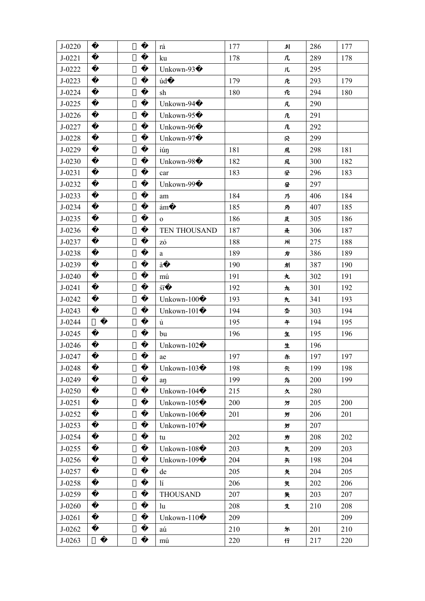| $J - 0220$ | rå              | 177 | 刘  | 286 | 177 |
|------------|-----------------|-----|----|-----|-----|
| $J - 0221$ | ku              | 178 | 几  | 289 | 178 |
| $J - 0222$ | Unkown-93       |     | 儿  | 295 |     |
| $J - 0223$ | úd              | 179 | 凡  | 293 | 179 |
| $J - 0224$ | sh              | 180 | 化  | 294 | 180 |
| $J - 0225$ | Unkown-94       |     | 凡  | 290 |     |
| $J - 0226$ | Unkown-95       |     | 几  | 291 |     |
| $J - 0227$ | Unkown-96       |     | 几  | 292 |     |
| $J - 0228$ | Unkown-97       |     | 尕  | 299 |     |
| $J - 0229$ | iún             | 181 | 凧  | 298 | 181 |
| $J - 0230$ | Unkown-98       | 182 | 凤  | 300 | 182 |
| $J - 0231$ | car             | 183 | 星  | 296 | 183 |
| $J - 0232$ | Unkown-99       |     | 昼  | 297 |     |
| $J - 0233$ | am              | 184 | 乃  | 406 | 184 |
| J-0234     | åm              | 185 | 乃  | 407 | 185 |
| $J - 0235$ | $\mathbf{o}$    | 186 | 及  | 305 | 186 |
| $J - 0236$ | TEN THOUSAND    | 187 | 庚  | 306 | 187 |
| $J - 0237$ | ZÔ              | 188 | Жŀ | 275 | 188 |
| J-0238     | $\rm{a}$        | 189 | 为  | 386 | 189 |
| J-0239     | à               | 190 | 杊  | 387 | 190 |
| $J - 0240$ | mú              | 191 | 丸  | 302 | 191 |
| $J - 0241$ | śï              | 192 | 九  | 301 | 192 |
| $J - 0242$ | Unkown-100      | 193 | 九  | 341 | 193 |
| $J - 0243$ | Unkown-101      | 194 | 卆  | 303 | 194 |
| $J - 0244$ | ů               | 195 | 午  | 194 | 195 |
| $J - 0245$ | bu              | 196 | 玍  | 195 | 196 |
| $J - 0246$ | Unkown-102      |     | 生  | 196 |     |
| $J - 0247$ | ae              | 197 | 朱  | 197 | 197 |
| $J - 0248$ | Unkown-103      | 198 | 矢  | 199 | 198 |
| $J - 0249$ | aη              | 199 | 気  | 200 | 199 |
| $J - 0250$ | Unkown-104      | 215 | 久  | 280 |     |
| $J - 0251$ | Unkown-105      | 200 | 万  | 205 | 200 |
| $J - 0252$ | Unkown-106      | 201 | 氕  | 206 | 201 |
| $J - 0253$ | Unkown-107      |     | 氕  | 207 |     |
| $J - 0254$ | tu              | 202 | 步  | 208 | 202 |
| $J - 0255$ | Unkown-108      | 203 | 先  | 209 | 203 |
| $J - 0256$ | Unkown-109      | 204 | 矢  | 198 | 204 |
| $J - 0257$ | de              | 205 | 矢  | 204 | 205 |
| $J - 0258$ | lí              | 206 | 煲  | 202 | 206 |
| $J - 0259$ | <b>THOUSAND</b> | 207 | 矢  | 203 | 207 |
| $J - 0260$ | lu              | 208 | 夊  | 210 | 208 |
| $J - 0261$ | Unkown-110      | 209 |    |     | 209 |
| $J - 0262$ | aú              | 210 | 尓  | 201 | 210 |
| $J - 0263$ | mú              | 220 | 行  | 217 | 220 |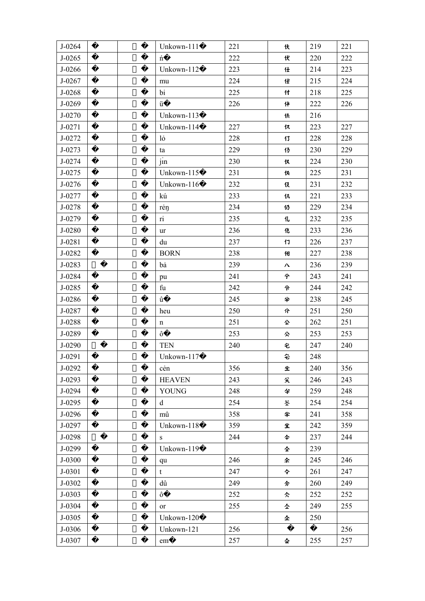| $J - 0264$ | Unkown-111              | 221 | 伏                     | 219 | 221 |
|------------|-------------------------|-----|-----------------------|-----|-----|
| $J - 0265$ | ń                       | 222 | 伏                     | 220 | 222 |
| $J - 0266$ | Unkown-112              | 223 | 仕                     | 214 | 223 |
| $J - 0267$ | mu                      | 224 | 仕                     | 215 | 224 |
| $J - 0268$ | bi                      | 225 | 付                     | 218 | 225 |
| $J - 0269$ | ü                       | 226 | 件                     | 222 | 226 |
| $J - 0270$ | Unkown-113              |     | 伕                     | 216 |     |
| $J - 0271$ | Unkown-114              | 227 | 仅                     | 223 | 227 |
| $J - 0272$ | lỏ                      | 228 | 13                    | 228 | 228 |
| $J - 0273$ | ta                      | 229 | 13                    | 230 | 229 |
| $J - 0274$ | $\lim$                  | 230 | 仅                     | 224 | 230 |
| $J - 0275$ | Unkown-115              | 231 | 侭                     | 225 | 231 |
| $J - 0276$ | Unkown-116              | 232 | 伎                     | 231 | 232 |
| $J - 0277$ | kú                      | 233 | 仈                     | 221 | 233 |
| $J - 0278$ | rėŋ                     | 234 | 113                   | 229 | 234 |
| J-0279     | $\overline{\textbf{n}}$ | 235 | 化                     | 232 | 235 |
| $J - 0280$ | ur                      | 236 | 化                     | 233 | 236 |
| $J - 0281$ | du                      | 237 | 17                    | 226 | 237 |
| J-0282     | <b>BORN</b>             | 238 | 佃                     | 227 | 238 |
| $J - 0283$ | bå                      | 239 | $\boldsymbol{\wedge}$ | 236 | 239 |
| J-0284     | pu                      | 241 | 仝                     | 243 | 241 |
| $J - 0285$ | fu                      | 242 | 兮                     | 244 | 242 |
| J-0286     | û                       | 245 | 全                     | 238 | 245 |
| $J - 0287$ | heu                     | 250 | 介                     | 251 | 250 |
| J-0288     | n                       | 251 | 公                     | 262 | 251 |
| J-0289     | ô                       | 253 | 公                     | 253 | 253 |
| $J - 0290$ | <b>TEN</b>              | 240 | 乇                     | 247 | 240 |
| J-0291     | Unkown-117              |     | 仑                     | 248 |     |
| J-0292     | cẻn                     | 356 | 尘                     | 240 | 356 |
| $J - 0293$ | <b>HEAVEN</b>           | 243 | 矢                     | 246 | 243 |
| $J - 0294$ | <b>YOUNG</b>            | 248 | 兮                     | 259 | 248 |
| $J - 0295$ | d                       | 254 | 筌                     | 254 | 254 |
| $J - 0296$ | mû                      | 358 | $\ddagger$            | 241 | 358 |
| $J - 0297$ | Unkown-118              | 359 | 尘                     | 242 | 359 |
| J-0298     | S                       | 244 | 仐                     | 237 | 244 |
| $J - 0299$ | Unkown-119              |     | $\blacktriangle$      | 239 |     |
| $J-0300$   | qu                      | 246 | 余                     | 245 | 246 |
| $J - 0301$ | $\mathbf t$             | 247 | 今                     | 261 | 247 |
| $J - 0302$ | dû                      | 249 | 分                     | 260 | 249 |
| $J - 0303$ | ô                       | 252 | 仌                     | 252 | 252 |
| $J - 0304$ | or                      | 255 | 소                     | 249 | 255 |
| $J - 0305$ | Unkown-120              |     | 企                     | 250 |     |
| $J - 0306$ | Unkown-121              | 256 |                       |     | 256 |
| $J - 0307$ | em                      | 257 | 佥                     | 255 | 257 |
|            |                         |     |                       |     |     |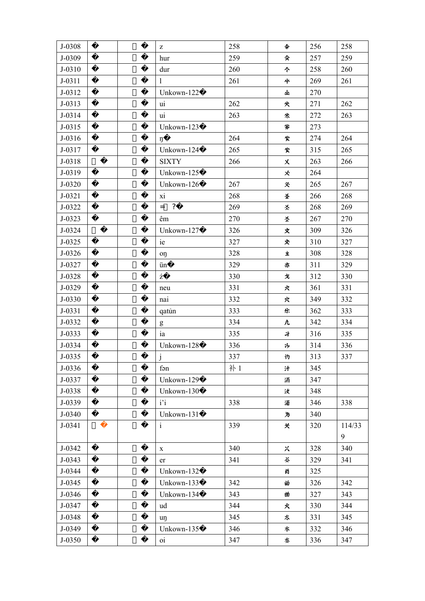| J-0308     | Z                     | 258 | 伞                         | 256 | 258    |
|------------|-----------------------|-----|---------------------------|-----|--------|
| J-0309     | hur                   | 259 | 氽                         | 257 | 259    |
| $J - 0310$ | dur                   | 260 | 仒                         | 258 | 260    |
| $J - 0311$ | 1                     | 261 | 4                         | 269 | 261    |
| $J - 0312$ | Unkown-122            |     | 坐                         | 270 |        |
| $J - 0313$ | ui                    | 262 | 火                         | 271 | 262    |
| $J - 0314$ | ui                    | 263 | 忩                         | 272 | 263    |
| $J - 0315$ | Unkown-123            |     | 挙                         | 273 |        |
| J-0316     | ŋ                     | 264 | 尖                         | 274 | 264    |
| $J - 0317$ | Unkown-124            | 265 | 尖                         | 315 | 265    |
| J-0318     | <b>SIXTY</b>          | 266 | $\boldsymbol{\mathsf{x}}$ | 263 | 266    |
| J-0319     | Unkown-125            |     | ✕                         | 264 |        |
| $J - 0320$ | Unkown-126            | 267 | 头                         | 265 | 267    |
| $J - 0321$ | xi                    | 268 | 圣                         | 266 | 268    |
| J-0322     | $\overline{?}$<br>$=$ | 269 | 苍                         | 268 | 269    |
| $J - 0323$ | êm                    | 270 | 圣                         | 267 | 270    |
| $J - 0324$ | Unkown-127            | 326 | 文                         | 309 | 326    |
| $J - 0325$ | ie                    | 327 | 氼                         | 310 | 327    |
| J-0326     | oŋ                    | 328 | İ                         | 308 | 328    |
| J-0327     | ün                    | 329 | 亦                         | 311 | 329    |
| $J - 0328$ | ź                     | 330 | 文                         | 312 | 330    |
| J-0329     | neu                   | 331 | 穴                         | 361 | 331    |
| $J - 0330$ | nai                   | 332 | 穴                         | 349 | 332    |
| $J - 0331$ | qatůn                 | 333 | 乐                         | 362 | 333    |
| J-0332     | ${\sf g}$             | 334 | 凣                         | 342 | 334    |
| J-0333     | ia                    | 335 | 才                         | 316 | 335    |
| $J - 0334$ | Unkown-128            | 336 | ゙゙゙゙゙゙゙゙゚ゎ                | 314 | 336    |
| $J - 0335$ | $\mathbf{j}$          | 337 | 礿                         | 313 | 337    |
| $J - 0336$ | fən                   | 补1  | 计                         | 345 |        |
| J-0337     | Unkown-129            |     | 沰                         | 347 |        |
| $J - 0338$ | Unkown-130            |     | 汝                         | 348 |        |
| J-0339     | i'i                   | 338 | 洦                         | 346 | 338    |
| $J - 0340$ | Unkown-131            |     | 为                         | 340 |        |
| $J - 0341$ | $\mathbf{i}$          | 339 | 关                         | 320 | 114/33 |
|            |                       |     |                           |     | 9      |
| $J - 0342$ | $\mathbf X$           | 340 | 乂                         | 328 | 340    |
| $J - 0343$ | er                    | 341 | 苶                         | 329 | 341    |
| J-0344     | Unkown-132            |     | 肖                         | 325 |        |
| J-0345     | Unkown-133            | 342 | 畄                         | 326 | 342    |
| $J - 0346$ | Unkown-134            | 343 | 畄                         | 327 | 343    |
| J-0347     | ud                    | 344 | 火                         | 330 | 344    |
| J-0348     | un                    | 345 | 氺                         | 331 | 345    |
| $J - 0349$ | Unkown-135            | 346 | 氺                         | 332 | 346    |
| J-0350     | 0i                    | 347 | 氺                         | 336 | 347    |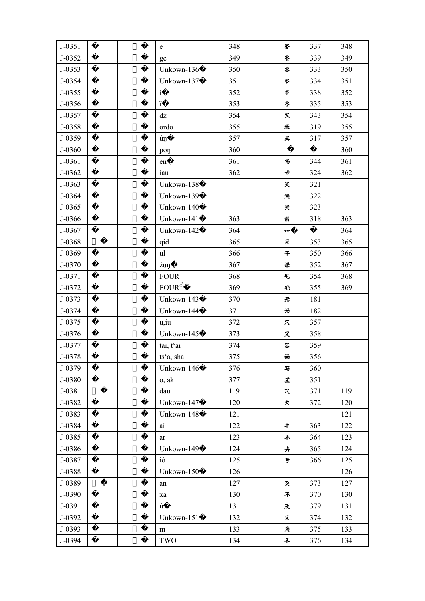| $J - 0351$ | e             | 348 | 芬                   | 337 | 348 |
|------------|---------------|-----|---------------------|-----|-----|
| $J - 0352$ | ge            | 349 | 水                   | 339 | 349 |
| $J - 0353$ | Unkown-136    | 350 | 氺                   | 333 | 350 |
| J-0354     | Unkown-137    | 351 | *                   | 334 | 351 |
| $J - 0355$ | $\hat{1}$     | 352 | *                   | 338 | 352 |
| $J - 0356$ | ï             | 353 | 峇                   | 335 | 353 |
| J-0357     | dź            | 354 | 乆                   | 343 | 354 |
| J-0358     | ordo          | 355 | *                   | 319 | 355 |
| $J - 0359$ | úη            | 357 | 半                   | 317 | 357 |
| J-0360     | poŋ           | 360 |                     |     | 360 |
| $J - 0361$ | én            | 361 | 与                   | 344 | 361 |
| $J - 0362$ | iau           | 362 | ザ                   | 324 | 362 |
| $J - 0363$ | Unkown-138    |     | 关                   | 321 |     |
| $J - 0364$ | Unkown-139    |     | 米                   | 322 |     |
| $J - 0365$ | Unkown-140    |     | 犬                   | 323 |     |
| J-0366     | Unkown-141    | 363 | 芇                   | 318 | 363 |
| $J - 0367$ | Unkown-142    | 364 | w                   |     | 364 |
| J-0368     | qid           | 365 | 夭                   | 353 | 365 |
| J-0369     | ul            | 366 | 平                   | 350 | 366 |
| J-0370     | źuŋ           | 367 | 乐                   | 352 | 367 |
| $J - 0371$ | <b>FOUR</b>   | 368 | 乇                   | 354 | 368 |
| $J - 0372$ | FOUR $\delta$ | 369 | 毛                   | 355 | 369 |
| $J - 0373$ | Unkown-143    | 370 | 开                   | 181 |     |
| J-0374     | Unkown-144    | 371 | 形                   | 182 |     |
| J-0375     | u, i          | 372 | 穴                   | 357 |     |
| J-0376     | Unkown-145    | 373 | 又                   | 358 |     |
| $J - 0377$ | tai, t'ai     | 374 | 圣                   | 359 |     |
| J-0378     | ts'a, sha     | 375 | 甬                   | 356 |     |
| J-0379     | Unkown-146    | 376 | 马                   | 360 |     |
| J-0380     | o, ak         | 377 | ${\mathbf \pounds}$ | 351 |     |
| J-0381     | dau           | 119 | 尺                   | 371 | 119 |
| J-0382     | Unkown-147    | 120 | 大                   | 372 | 120 |
| J-0383     | Unkown-148    | 121 |                     |     | 121 |
| J-0384     | ai            | 122 | 丰                   | 363 | 122 |
| J-0385     | ar            | 123 | 书                   | 364 | 123 |
| J-0386     | Unkown-149    | 124 | 夬                   | 365 | 124 |
| J-0387     | ió            | 125 | 号                   | 366 | 125 |
| J-0388     | Unkown-150    | 126 |                     |     | 126 |
| J-0389     | an            | 127 | 奀                   | 373 | 127 |
| J-0390     | xa            | 130 | 不                   | 370 | 130 |
| $J - 0391$ | ú             | 131 | 叐                   | 379 | 131 |
| J-0392     | Unkown-151    | 132 | 又                   | 374 | 132 |
| J-0393     | m             | 133 | 叉                   | 375 | 133 |
| J-0394     | <b>TWO</b>    | 134 | 圣                   | 376 | 134 |
|            |               |     |                     |     |     |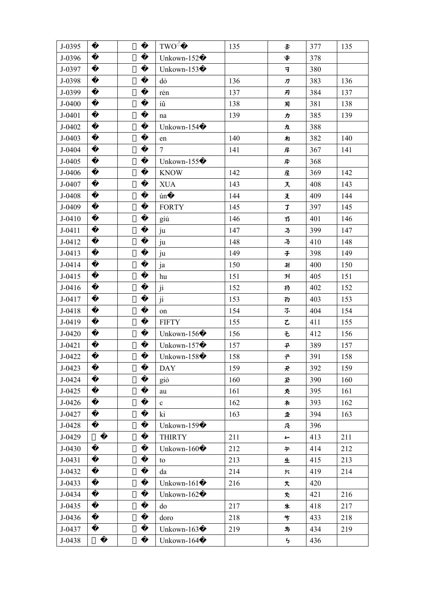| J-0395     | $TWO^{\overline{\circ}}$ | 135 | 圣                          | 377 | 135 |
|------------|--------------------------|-----|----------------------------|-----|-----|
| J-0396     | Unkown-152               |     | 睿                          | 378 |     |
| J-0397     | Unkown-153               |     | F                          | 380 |     |
| J-0398     | dỏ                       | 136 | $\boldsymbol{\mathcal{D}}$ | 383 | 136 |
| J-0399     | rėn                      | 137 | 刃                          | 384 | 137 |
| $J - 0400$ | iû                       | 138 | 习                          | 381 | 138 |
| $J - 0401$ | na                       | 139 | カ                          | 385 | 139 |
| $J - 0402$ | Unkown-154               |     | 力                          | 388 |     |
| $J - 0403$ | en                       | 140 | 木                          | 382 | 140 |
| J-0404     | $\overline{7}$           | 141 | 戽                          | 367 | 141 |
| $J - 0405$ | Unkown-155               |     | 斥                          | 368 |     |
| J-0406     | <b>KNOW</b>              | 142 | 屋                          | 369 | 142 |
| J-0407     | <b>XUA</b>               | 143 | 入                          | 408 | 143 |
| J-0408     | ún                       | 144 | 爻                          | 409 | 144 |
| J-0409     | <b>FORTY</b>             | 145 | J                          | 397 | 145 |
| $J - 0410$ | giů                      | 146 | 孖                          | 401 | 146 |
| $J - 0411$ | ju                       | 147 | 子                          | 399 | 147 |
| $J - 0412$ | ju                       | 148 | 乃                          | 410 | 148 |
| $J - 0413$ | ju                       | 149 | 子                          | 398 | 149 |
| J-0414     | ja                       | 150 | 引                          | 400 | 150 |
| $J - 0415$ | hu                       | 151 | 玐                          | 405 | 151 |
| $J - 0416$ | ji                       | 152 | 劧                          | 402 | 152 |
| $J - 0417$ | ji                       | 153 | 犳                          | 403 | 153 |
| $J - 0418$ | on                       | 154 | ふ                          | 404 | 154 |
| $J - 0419$ | <b>FIFTY</b>             | 155 | て                          | 411 | 155 |
| $J - 0420$ | Unkown-156               | 156 | そ                          | 412 | 156 |
| $J - 0421$ | Unkown-157               | 157 | 予                          | 389 | 157 |
| $J - 0422$ | Unkown-158               | 158 | 쿤                          | 391 | 158 |
| $J - 0423$ | <b>DAY</b>               | 159 | 굣                          | 392 | 159 |
| $J - 0424$ | giỏ                      | 160 | 곳                          | 390 | 160 |
| $J - 0425$ | au                       | 161 | 夾                          | 395 | 161 |
| $J - 0426$ | $\mathbf c$              | 162 | 术                          | 393 | 162 |
| $J - 0427$ | ki                       | 163 | 业                          | 394 | 163 |
| $J - 0428$ | Unkown-159               |     | 尕                          | 396 |     |
| $J - 0429$ | <b>THIRTY</b>            | 211 | L                          | 413 | 211 |
| $J - 0430$ | Unkown-160               | 212 | テ                          | 414 | 212 |
| $J - 0431$ | to                       | 213 | 生                          | 415 | 213 |
| $J - 0432$ | da                       | 214 | 六                          | 419 | 214 |
| $J - 0433$ | Unkown-161               | 216 | 失                          | 420 |     |
| $J - 0434$ | Unkown-162               |     | 失                          | 421 | 216 |
| $J - 0435$ | do                       | 217 | 朱                          | 418 | 217 |
| $J - 0436$ | doro                     | 218 | 兮                          | 433 | 218 |
| $J - 0437$ | Unkown-163               | 219 | 与                          | 434 | 219 |
| $J - 0438$ | Unkown-164               |     | $\mathfrak b$              | 436 |     |